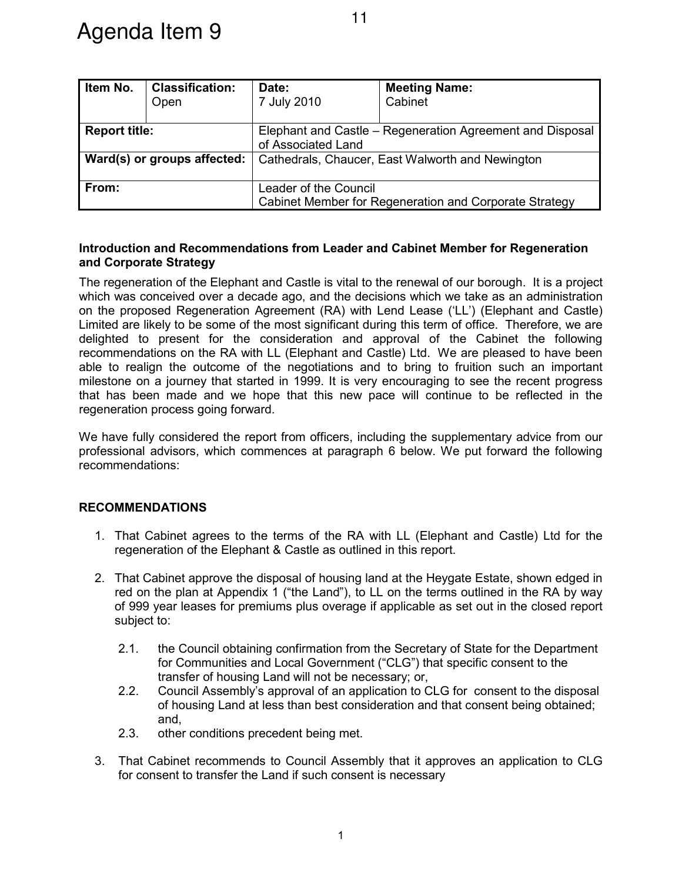| Item No.                    | <b>Classification:</b> | Date:                                                                           | <b>Meeting Name:</b> |  |
|-----------------------------|------------------------|---------------------------------------------------------------------------------|----------------------|--|
|                             | Open                   | 7 July 2010                                                                     | Cabinet              |  |
|                             |                        |                                                                                 |                      |  |
| <b>Report title:</b>        |                        | Elephant and Castle - Regeneration Agreement and Disposal<br>of Associated Land |                      |  |
| Ward(s) or groups affected: |                        | Cathedrals, Chaucer, East Walworth and Newington                                |                      |  |
| From:                       |                        | Leader of the Council                                                           |                      |  |
|                             |                        | Cabinet Member for Regeneration and Corporate Strategy                          |                      |  |

# **Introduction and Recommendations from Leader and Cabinet Member for Regeneration and Corporate Strategy**

The regeneration of the Elephant and Castle is vital to the renewal of our borough. It is a project which was conceived over a decade ago, and the decisions which we take as an administration on the proposed Regeneration Agreement (RA) with Lend Lease ('LL') (Elephant and Castle) Limited are likely to be some of the most significant during this term of office. Therefore, we are delighted to present for the consideration and approval of the Cabinet the following recommendations on the RA with LL (Elephant and Castle) Ltd. We are pleased to have been able to realign the outcome of the negotiations and to bring to fruition such an important milestone on a journey that started in 1999. It is very encouraging to see the recent progress that has been made and we hope that this new pace will continue to be reflected in the regeneration process going forward.

We have fully considered the report from officers, including the supplementary advice from our professional advisors, which commences at paragraph 6 below. We put forward the following recommendations:

# **RECOMMENDATIONS**

- 1. That Cabinet agrees to the terms of the RA with LL (Elephant and Castle) Ltd for the regeneration of the Elephant & Castle as outlined in this report.
- 2. That Cabinet approve the disposal of housing land at the Heygate Estate, shown edged in red on the plan at Appendix 1 ("the Land"), to LL on the terms outlined in the RA by way of 999 year leases for premiums plus overage if applicable as set out in the closed report subject to:
	- 2.1. the Council obtaining confirmation from the Secretary of State for the Department for Communities and Local Government ("CLG") that specific consent to the transfer of housing Land will not be necessary; or,
	- 2.2. Council Assembly's approval of an application to CLG for consent to the disposal of housing Land at less than best consideration and that consent being obtained; and,
	- 2.3. other conditions precedent being met.
- 3. That Cabinet recommends to Council Assembly that it approves an application to CLG for consent to transfer the Land if such consent is necessary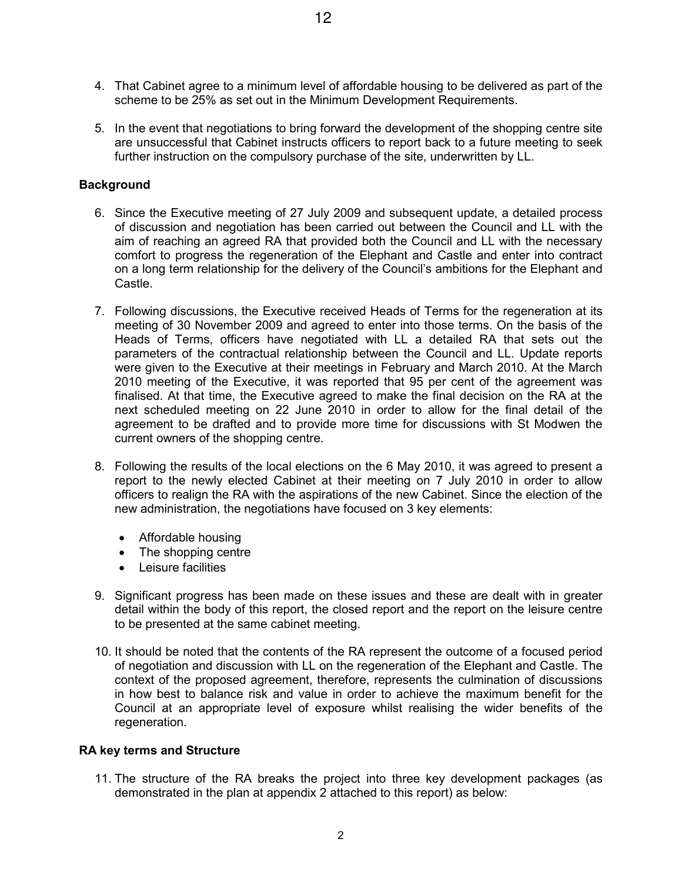- 4. That Cabinet agree to a minimum level of affordable housing to be delivered as part of the scheme to be 25% as set out in the Minimum Development Requirements.
- 5. In the event that negotiations to bring forward the development of the shopping centre site are unsuccessful that Cabinet instructs officers to report back to a future meeting to seek further instruction on the compulsory purchase of the site, underwritten by LL.

# **Background**

- 6. Since the Executive meeting of 27 July 2009 and subsequent update, a detailed process of discussion and negotiation has been carried out between the Council and LL with the aim of reaching an agreed RA that provided both the Council and LL with the necessary comfort to progress the regeneration of the Elephant and Castle and enter into contract on a long term relationship for the delivery of the Council's ambitions for the Elephant and Castle.
- 7. Following discussions, the Executive received Heads of Terms for the regeneration at its meeting of 30 November 2009 and agreed to enter into those terms. On the basis of the Heads of Terms, officers have negotiated with LL a detailed RA that sets out the parameters of the contractual relationship between the Council and LL. Update reports were given to the Executive at their meetings in February and March 2010. At the March 2010 meeting of the Executive, it was reported that 95 per cent of the agreement was finalised. At that time, the Executive agreed to make the final decision on the RA at the next scheduled meeting on 22 June 2010 in order to allow for the final detail of the agreement to be drafted and to provide more time for discussions with St Modwen the current owners of the shopping centre.
- 8. Following the results of the local elections on the 6 May 2010, it was agreed to present a report to the newly elected Cabinet at their meeting on 7 July 2010 in order to allow officers to realign the RA with the aspirations of the new Cabinet. Since the election of the new administration, the negotiations have focused on 3 key elements:
	- Affordable housing
	- The shopping centre
	- • Leisure facilities
- 9. Significant progress has been made on these issues and these are dealt with in greater detail within the body of this report, the closed report and the report on the leisure centre to be presented at the same cabinet meeting.
- 10. It should be noted that the contents of the RA represent the outcome of a focused period of negotiation and discussion with LL on the regeneration of the Elephant and Castle. The context of the proposed agreement, therefore, represents the culmination of discussions in how best to balance risk and value in order to achieve the maximum benefit for the Council at an appropriate level of exposure whilst realising the wider benefits of the regeneration.

# **RA key terms and Structure**

11. The structure of the RA breaks the project into three key development packages (as demonstrated in the plan at appendix 2 attached to this report) as below: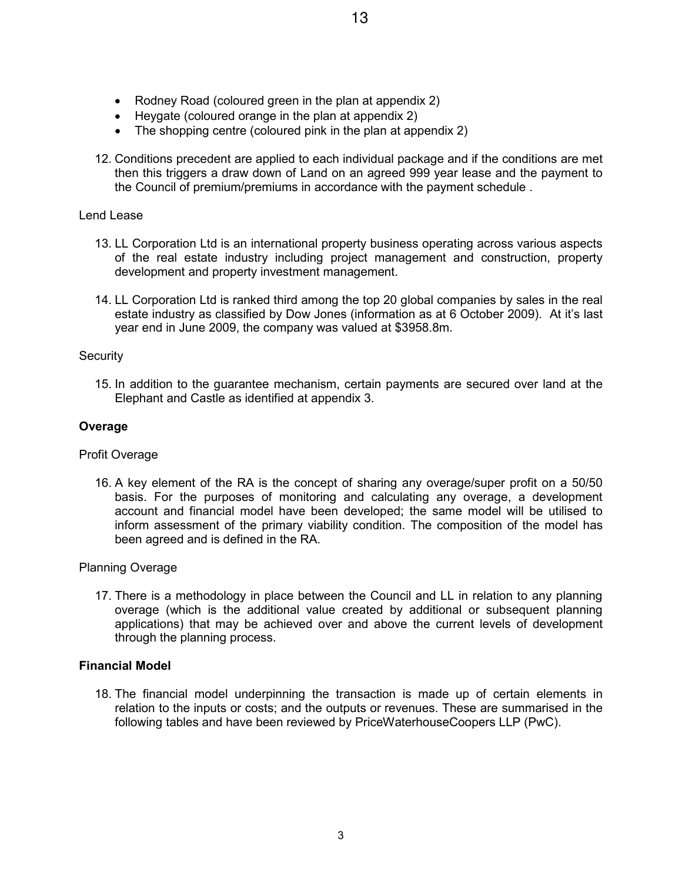- Rodney Road (coloured green in the plan at appendix 2)
- Heygate (coloured orange in the plan at appendix 2)
- The shopping centre (coloured pink in the plan at appendix 2)
- 12. Conditions precedent are applied to each individual package and if the conditions are met then this triggers a draw down of Land on an agreed 999 year lease and the payment to the Council of premium/premiums in accordance with the payment schedule .

## Lend Lease

- 13. LL Corporation Ltd is an international property business operating across various aspects of the real estate industry including project management and construction, property development and property investment management.
- 14. LL Corporation Ltd is ranked third among the top 20 global companies by sales in the real estate industry as classified by Dow Jones (information as at 6 October 2009). At it's last year end in June 2009, the company was valued at \$3958.8m.

## **Security**

15. In addition to the guarantee mechanism, certain payments are secured over land at the Elephant and Castle as identified at appendix 3.

# **Overage**

## Profit Overage

16. A key element of the RA is the concept of sharing any overage/super profit on a 50/50 basis. For the purposes of monitoring and calculating any overage, a development account and financial model have been developed; the same model will be utilised to inform assessment of the primary viability condition. The composition of the model has been agreed and is defined in the RA.

## Planning Overage

17. There is a methodology in place between the Council and LL in relation to any planning overage (which is the additional value created by additional or subsequent planning applications) that may be achieved over and above the current levels of development through the planning process.

## **Financial Model**

18. The financial model underpinning the transaction is made up of certain elements in relation to the inputs or costs; and the outputs or revenues. These are summarised in the following tables and have been reviewed by PriceWaterhouseCoopers LLP (PwC).

3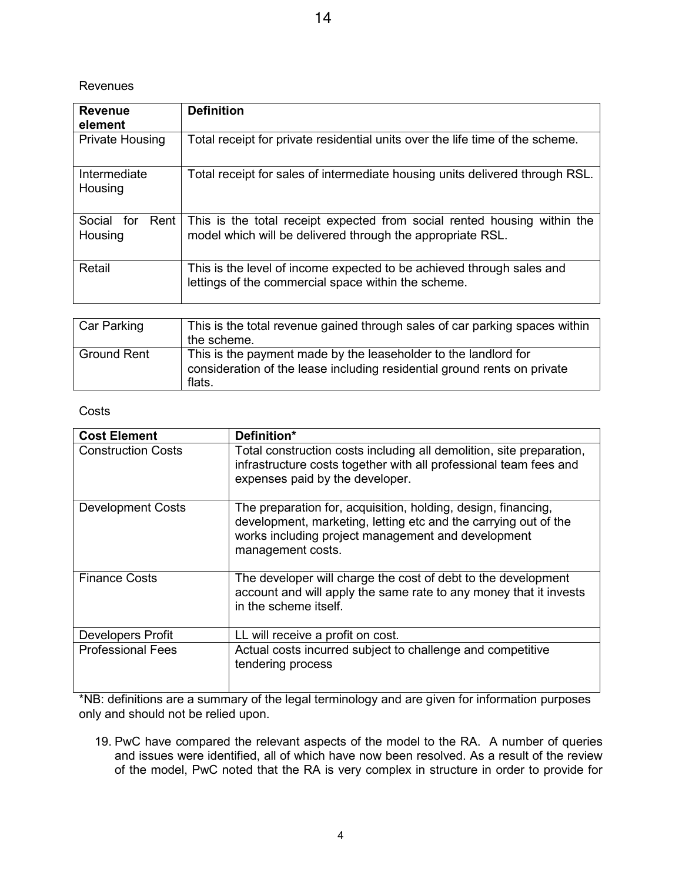# Revenues

| <b>Definition</b>                                                                                                                      |  |  |  |
|----------------------------------------------------------------------------------------------------------------------------------------|--|--|--|
| Total receipt for private residential units over the life time of the scheme.                                                          |  |  |  |
| Total receipt for sales of intermediate housing units delivered through RSL.                                                           |  |  |  |
| This is the total receipt expected from social rented housing within the<br>model which will be delivered through the appropriate RSL. |  |  |  |
| This is the level of income expected to be achieved through sales and<br>lettings of the commercial space within the scheme.           |  |  |  |
| This is the total revenue goined through sales of ear parking engage within                                                            |  |  |  |
|                                                                                                                                        |  |  |  |

| <b>Car Parking</b> | This is the total revenue gained through sales of car parking spaces within<br>the scheme.                                                            |
|--------------------|-------------------------------------------------------------------------------------------------------------------------------------------------------|
| Ground Rent        | This is the payment made by the leaseholder to the landlord for<br>consideration of the lease including residential ground rents on private<br>flats. |

# **Costs**

| <b>Cost Element</b>       | Definition*                                                                                                                                                                                                 |
|---------------------------|-------------------------------------------------------------------------------------------------------------------------------------------------------------------------------------------------------------|
| <b>Construction Costs</b> | Total construction costs including all demolition, site preparation,<br>infrastructure costs together with all professional team fees and<br>expenses paid by the developer.                                |
| <b>Development Costs</b>  | The preparation for, acquisition, holding, design, financing,<br>development, marketing, letting etc and the carrying out of the<br>works including project management and development<br>management costs. |
| <b>Finance Costs</b>      | The developer will charge the cost of debt to the development<br>account and will apply the same rate to any money that it invests<br>in the scheme itself.                                                 |
| <b>Developers Profit</b>  | LL will receive a profit on cost.                                                                                                                                                                           |
| <b>Professional Fees</b>  | Actual costs incurred subject to challenge and competitive<br>tendering process                                                                                                                             |

\*NB: definitions are a summary of the legal terminology and are given for information purposes only and should not be relied upon.

19. PwC have compared the relevant aspects of the model to the RA. A number of queries and issues were identified, all of which have now been resolved. As a result of the review of the model, PwC noted that the RA is very complex in structure in order to provide for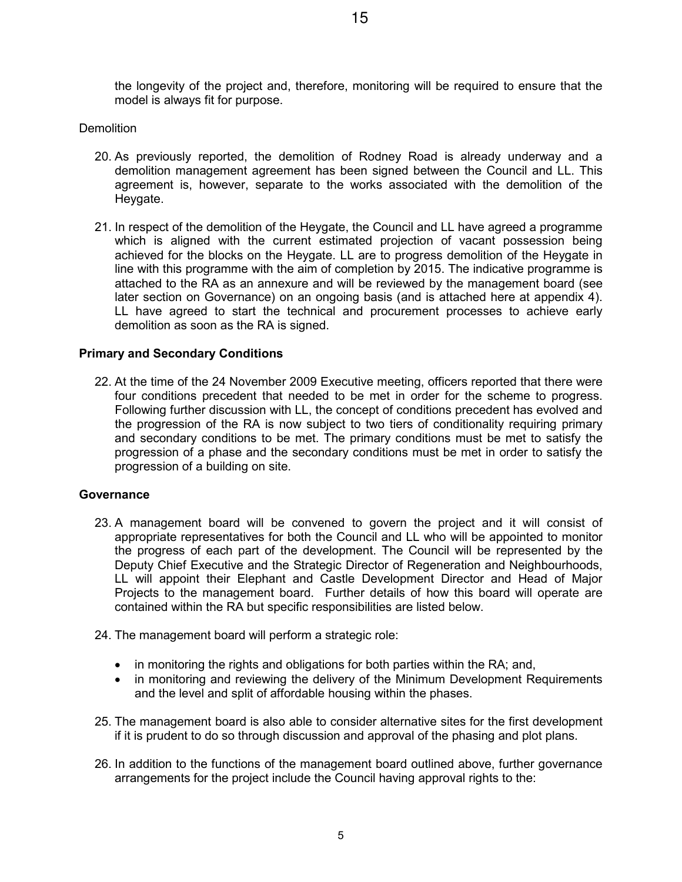the longevity of the project and, therefore, monitoring will be required to ensure that the model is always fit for purpose.

# **Demolition**

- 20. As previously reported, the demolition of Rodney Road is already underway and a demolition management agreement has been signed between the Council and LL. This agreement is, however, separate to the works associated with the demolition of the Heygate.
- 21. In respect of the demolition of the Heygate, the Council and LL have agreed a programme which is aligned with the current estimated projection of vacant possession being achieved for the blocks on the Heygate. LL are to progress demolition of the Heygate in line with this programme with the aim of completion by 2015. The indicative programme is attached to the RA as an annexure and will be reviewed by the management board (see later section on Governance) on an ongoing basis (and is attached here at appendix 4). LL have agreed to start the technical and procurement processes to achieve early demolition as soon as the RA is signed.

# **Primary and Secondary Conditions**

22. At the time of the 24 November 2009 Executive meeting, officers reported that there were four conditions precedent that needed to be met in order for the scheme to progress. Following further discussion with LL, the concept of conditions precedent has evolved and the progression of the RA is now subject to two tiers of conditionality requiring primary and secondary conditions to be met. The primary conditions must be met to satisfy the progression of a phase and the secondary conditions must be met in order to satisfy the progression of a building on site.

## **Governance**

- 23. A management board will be convened to govern the project and it will consist of appropriate representatives for both the Council and LL who will be appointed to monitor the progress of each part of the development. The Council will be represented by the Deputy Chief Executive and the Strategic Director of Regeneration and Neighbourhoods, LL will appoint their Elephant and Castle Development Director and Head of Major Projects to the management board. Further details of how this board will operate are contained within the RA but specific responsibilities are listed below.
- 24. The management board will perform a strategic role:
	- in monitoring the rights and obligations for both parties within the RA; and,
	- in monitoring and reviewing the delivery of the Minimum Development Requirements and the level and split of affordable housing within the phases.
- 25. The management board is also able to consider alternative sites for the first development if it is prudent to do so through discussion and approval of the phasing and plot plans.
- 26. In addition to the functions of the management board outlined above, further governance arrangements for the project include the Council having approval rights to the: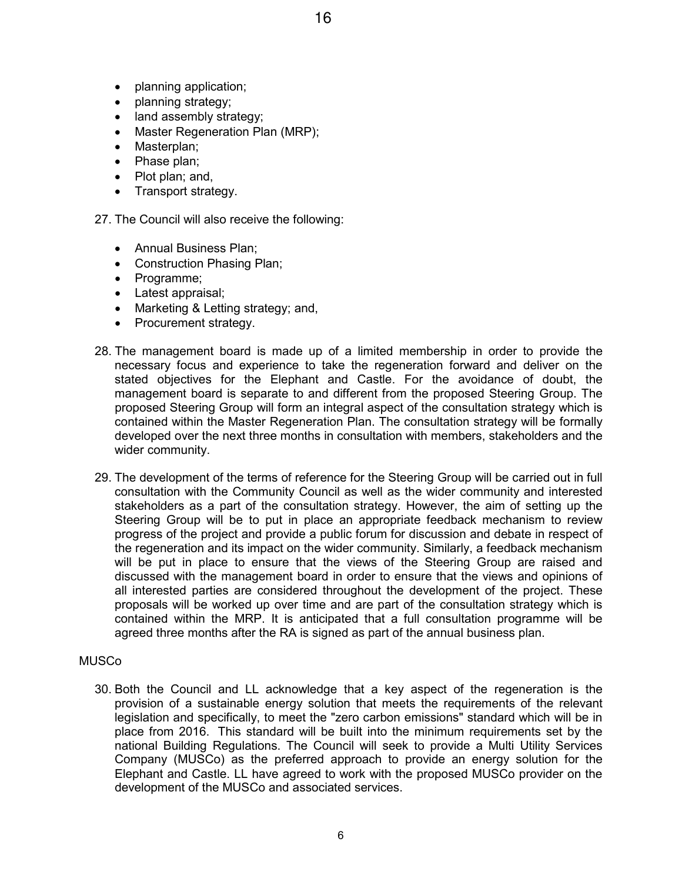- planning application;
- planning strategy;
- land assembly strategy;
- Master Regeneration Plan (MRP);
- Masterplan;
- Phase plan:
- Plot plan; and,
- Transport strategy.

27. The Council will also receive the following:

- Annual Business Plan;
- Construction Phasing Plan;
- • Programme;
- Latest appraisal;
- Marketing & Letting strategy; and,
- Procurement strategy.
- 28. The management board is made up of a limited membership in order to provide the necessary focus and experience to take the regeneration forward and deliver on the stated objectives for the Elephant and Castle. For the avoidance of doubt, the management board is separate to and different from the proposed Steering Group. The proposed Steering Group will form an integral aspect of the consultation strategy which is contained within the Master Regeneration Plan. The consultation strategy will be formally developed over the next three months in consultation with members, stakeholders and the wider community.
- 29. The development of the terms of reference for the Steering Group will be carried out in full consultation with the Community Council as well as the wider community and interested stakeholders as a part of the consultation strategy. However, the aim of setting up the Steering Group will be to put in place an appropriate feedback mechanism to review progress of the project and provide a public forum for discussion and debate in respect of the regeneration and its impact on the wider community. Similarly, a feedback mechanism will be put in place to ensure that the views of the Steering Group are raised and discussed with the management board in order to ensure that the views and opinions of all interested parties are considered throughout the development of the project. These proposals will be worked up over time and are part of the consultation strategy which is contained within the MRP. It is anticipated that a full consultation programme will be agreed three months after the RA is signed as part of the annual business plan.

## MUSCo

30. Both the Council and LL acknowledge that a key aspect of the regeneration is the provision of a sustainable energy solution that meets the requirements of the relevant legislation and specifically, to meet the "zero carbon emissions" standard which will be in place from 2016. This standard will be built into the minimum requirements set by the national Building Regulations. The Council will seek to provide a Multi Utility Services Company (MUSCo) as the preferred approach to provide an energy solution for the Elephant and Castle. LL have agreed to work with the proposed MUSCo provider on the development of the MUSCo and associated services.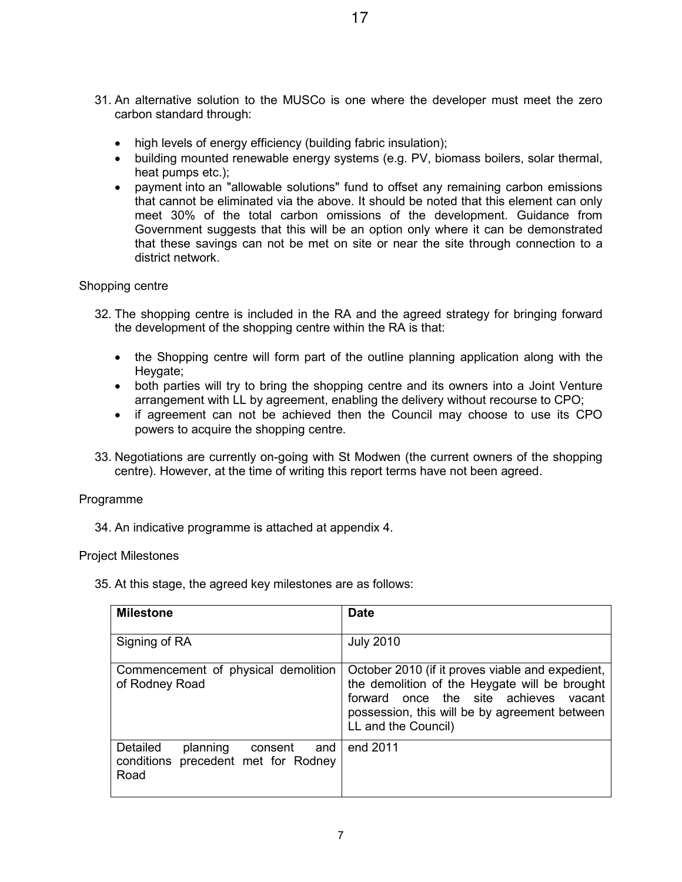- 31. An alternative solution to the MUSCo is one where the developer must meet the zero carbon standard through:
	- high levels of energy efficiency (building fabric insulation);
	- building mounted renewable energy systems (e.g. PV, biomass boilers, solar thermal, heat pumps etc.);
	- payment into an "allowable solutions" fund to offset any remaining carbon emissions that cannot be eliminated via the above. It should be noted that this element can only meet 30% of the total carbon omissions of the development. Guidance from Government suggests that this will be an option only where it can be demonstrated that these savings can not be met on site or near the site through connection to a district network.

# Shopping centre

- 32. The shopping centre is included in the RA and the agreed strategy for bringing forward the development of the shopping centre within the RA is that:
	- the Shopping centre will form part of the outline planning application along with the Heygate;
	- both parties will try to bring the shopping centre and its owners into a Joint Venture arrangement with LL by agreement, enabling the delivery without recourse to CPO;
	- if agreement can not be achieved then the Council may choose to use its CPO powers to acquire the shopping centre.
- 33. Negotiations are currently on-going with St Modwen (the current owners of the shopping centre). However, at the time of writing this report terms have not been agreed.

## Programme

34. An indicative programme is attached at appendix 4.

## Project Milestones

35. At this stage, the agreed key milestones are as follows:

| <b>Milestone</b>                                                                      | <b>Date</b>                                                                                                                                                                                                        |  |
|---------------------------------------------------------------------------------------|--------------------------------------------------------------------------------------------------------------------------------------------------------------------------------------------------------------------|--|
| Signing of RA                                                                         | <b>July 2010</b>                                                                                                                                                                                                   |  |
| Commencement of physical demolition<br>of Rodney Road                                 | October 2010 (if it proves viable and expedient,<br>the demolition of the Heygate will be brought<br>forward once the site achieves vacant<br>possession, this will be by agreement between<br>LL and the Council) |  |
| Detailed<br>planning<br>and<br>consent<br>conditions precedent met for Rodney<br>Road | end 2011                                                                                                                                                                                                           |  |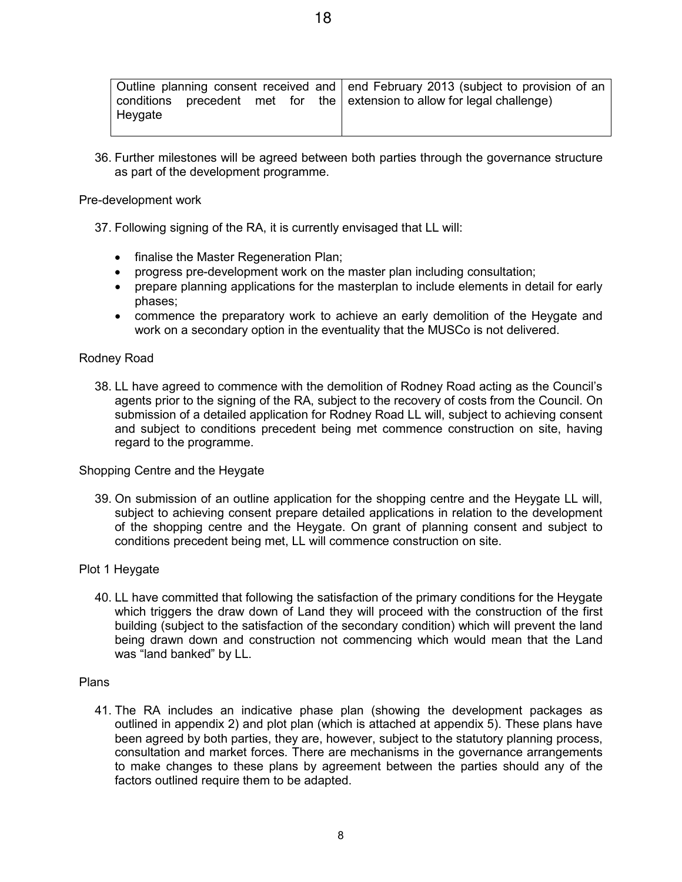|         |  |  |  | Outline planning consent received and end February 2013 (subject to provision of an |
|---------|--|--|--|-------------------------------------------------------------------------------------|
|         |  |  |  | conditions precedent met for the extension to allow for legal challenge)            |
| Heygate |  |  |  |                                                                                     |
|         |  |  |  |                                                                                     |

36. Further milestones will be agreed between both parties through the governance structure as part of the development programme.

## Pre-development work

- 37. Following signing of the RA, it is currently envisaged that LL will:
	- finalise the Master Regeneration Plan;
	- progress pre-development work on the master plan including consultation;
	- prepare planning applications for the masterplan to include elements in detail for early phases;
	- commence the preparatory work to achieve an early demolition of the Heygate and work on a secondary option in the eventuality that the MUSCo is not delivered.

# Rodney Road

38. LL have agreed to commence with the demolition of Rodney Road acting as the Council's agents prior to the signing of the RA, subject to the recovery of costs from the Council. On submission of a detailed application for Rodney Road LL will, subject to achieving consent and subject to conditions precedent being met commence construction on site, having regard to the programme.

## Shopping Centre and the Heygate

39. On submission of an outline application for the shopping centre and the Heygate LL will, subject to achieving consent prepare detailed applications in relation to the development of the shopping centre and the Heygate. On grant of planning consent and subject to conditions precedent being met, LL will commence construction on site.

## Plot 1 Heygate

40. LL have committed that following the satisfaction of the primary conditions for the Heygate which triggers the draw down of Land they will proceed with the construction of the first building (subject to the satisfaction of the secondary condition) which will prevent the land being drawn down and construction not commencing which would mean that the Land was "land banked" by LL.

## Plans

41. The RA includes an indicative phase plan (showing the development packages as outlined in appendix 2) and plot plan (which is attached at appendix 5). These plans have been agreed by both parties, they are, however, subject to the statutory planning process, consultation and market forces. There are mechanisms in the governance arrangements to make changes to these plans by agreement between the parties should any of the factors outlined require them to be adapted.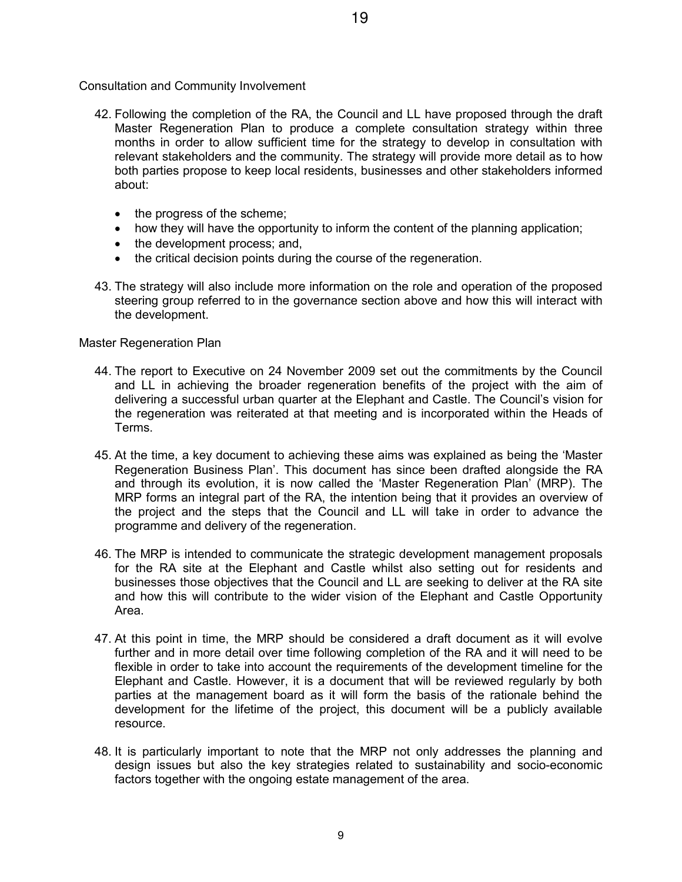Consultation and Community Involvement

- 42. Following the completion of the RA, the Council and LL have proposed through the draft Master Regeneration Plan to produce a complete consultation strategy within three months in order to allow sufficient time for the strategy to develop in consultation with relevant stakeholders and the community. The strategy will provide more detail as to how both parties propose to keep local residents, businesses and other stakeholders informed about:
	- the progress of the scheme;
	- how they will have the opportunity to inform the content of the planning application;
	- the development process; and,
	- the critical decision points during the course of the regeneration.
- 43. The strategy will also include more information on the role and operation of the proposed steering group referred to in the governance section above and how this will interact with the development.

# Master Regeneration Plan

- 44. The report to Executive on 24 November 2009 set out the commitments by the Council and LL in achieving the broader regeneration benefits of the project with the aim of delivering a successful urban quarter at the Elephant and Castle. The Council's vision for the regeneration was reiterated at that meeting and is incorporated within the Heads of Terms.
- 45. At the time, a key document to achieving these aims was explained as being the 'Master Regeneration Business Plan'. This document has since been drafted alongside the RA and through its evolution, it is now called the 'Master Regeneration Plan' (MRP). The MRP forms an integral part of the RA, the intention being that it provides an overview of the project and the steps that the Council and LL will take in order to advance the programme and delivery of the regeneration.
- 46. The MRP is intended to communicate the strategic development management proposals for the RA site at the Elephant and Castle whilst also setting out for residents and businesses those objectives that the Council and LL are seeking to deliver at the RA site and how this will contribute to the wider vision of the Elephant and Castle Opportunity Area.
- 47. At this point in time, the MRP should be considered a draft document as it will evolve further and in more detail over time following completion of the RA and it will need to be flexible in order to take into account the requirements of the development timeline for the Elephant and Castle. However, it is a document that will be reviewed regularly by both parties at the management board as it will form the basis of the rationale behind the development for the lifetime of the project, this document will be a publicly available resource.
- 48. It is particularly important to note that the MRP not only addresses the planning and design issues but also the key strategies related to sustainability and socio-economic factors together with the ongoing estate management of the area.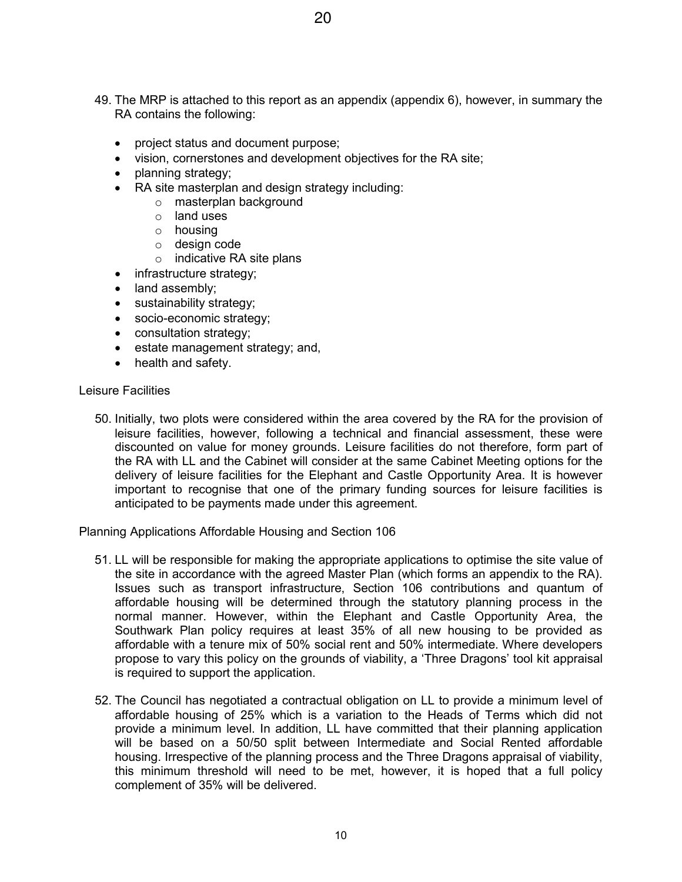- 49. The MRP is attached to this report as an appendix (appendix 6), however, in summary the RA contains the following:
	- project status and document purpose;
	- vision, cornerstones and development objectives for the RA site;
	- planning strategy;
	- RA site masterplan and design strategy including:
		- o masterplan background
		- $\circ$  land uses
		- o housing
		- o design code
		- o indicative RA site plans
		- infrastructure strategy;
	- land assembly;
	- sustainability strategy;
	- socio-economic strategy;
	- consultation strategy;
	- estate management strategy; and,
	- health and safety.

#### Leisure Facilities

50. Initially, two plots were considered within the area covered by the RA for the provision of leisure facilities, however, following a technical and financial assessment, these were discounted on value for money grounds. Leisure facilities do not therefore, form part of the RA with LL and the Cabinet will consider at the same Cabinet Meeting options for the delivery of leisure facilities for the Elephant and Castle Opportunity Area. It is however important to recognise that one of the primary funding sources for leisure facilities is anticipated to be payments made under this agreement.

Planning Applications Affordable Housing and Section 106

- 51. LL will be responsible for making the appropriate applications to optimise the site value of the site in accordance with the agreed Master Plan (which forms an appendix to the RA). Issues such as transport infrastructure, Section 106 contributions and quantum of affordable housing will be determined through the statutory planning process in the normal manner. However, within the Elephant and Castle Opportunity Area, the Southwark Plan policy requires at least 35% of all new housing to be provided as affordable with a tenure mix of 50% social rent and 50% intermediate. Where developers propose to vary this policy on the grounds of viability, a 'Three Dragons' tool kit appraisal is required to support the application.
- 52. The Council has negotiated a contractual obligation on LL to provide a minimum level of affordable housing of 25% which is a variation to the Heads of Terms which did not provide a minimum level. In addition, LL have committed that their planning application will be based on a 50/50 split between Intermediate and Social Rented affordable housing. Irrespective of the planning process and the Three Dragons appraisal of viability, this minimum threshold will need to be met, however, it is hoped that a full policy complement of 35% will be delivered.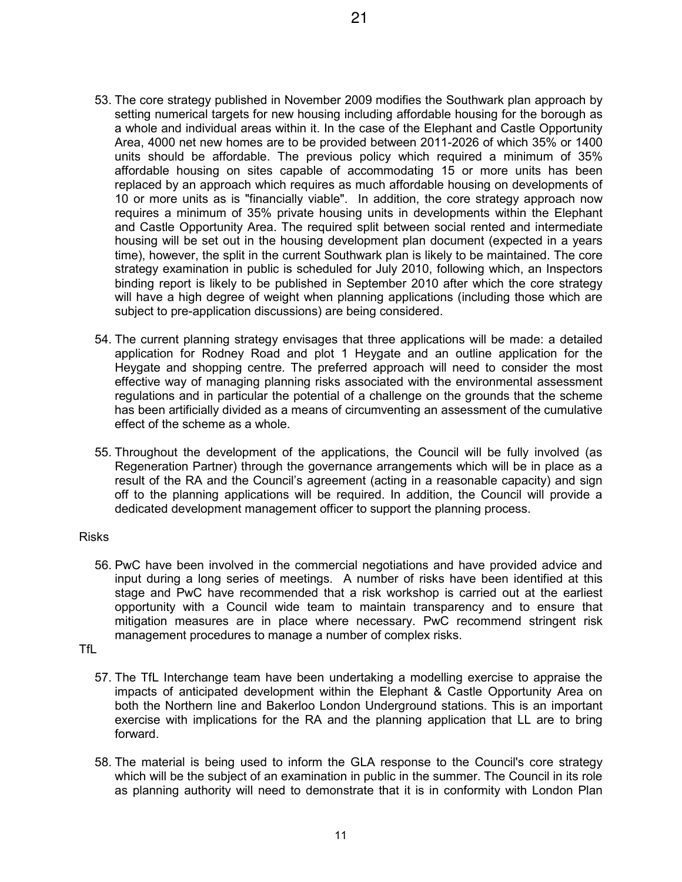- 53. The core strategy published in November 2009 modifies the Southwark plan approach by setting numerical targets for new housing including affordable housing for the borough as a whole and individual areas within it. In the case of the Elephant and Castle Opportunity Area, 4000 net new homes are to be provided between 2011-2026 of which 35% or 1400 units should be affordable. The previous policy which required a minimum of 35% affordable housing on sites capable of accommodating 15 or more units has been replaced by an approach which requires as much affordable housing on developments of 10 or more units as is "financially viable". In addition, the core strategy approach now requires a minimum of 35% private housing units in developments within the Elephant and Castle Opportunity Area. The required split between social rented and intermediate housing will be set out in the housing development plan document (expected in a years time), however, the split in the current Southwark plan is likely to be maintained. The core strategy examination in public is scheduled for July 2010, following which, an Inspectors binding report is likely to be published in September 2010 after which the core strategy will have a high degree of weight when planning applications (including those which are subject to pre-application discussions) are being considered.
- 54. The current planning strategy envisages that three applications will be made: a detailed application for Rodney Road and plot 1 Heygate and an outline application for the Heygate and shopping centre. The preferred approach will need to consider the most effective way of managing planning risks associated with the environmental assessment regulations and in particular the potential of a challenge on the grounds that the scheme has been artificially divided as a means of circumventing an assessment of the cumulative effect of the scheme as a whole.
- 55. Throughout the development of the applications, the Council will be fully involved (as Regeneration Partner) through the governance arrangements which will be in place as a result of the RA and the Council's agreement (acting in a reasonable capacity) and sign off to the planning applications will be required. In addition, the Council will provide a dedicated development management officer to support the planning process.

# Risks

56. PwC have been involved in the commercial negotiations and have provided advice and input during a long series of meetings. A number of risks have been identified at this stage and PwC have recommended that a risk workshop is carried out at the earliest opportunity with a Council wide team to maintain transparency and to ensure that mitigation measures are in place where necessary. PwC recommend stringent risk management procedures to manage a number of complex risks.

## TfL

- 57. The TfL Interchange team have been undertaking a modelling exercise to appraise the impacts of anticipated development within the Elephant & Castle Opportunity Area on both the Northern line and Bakerloo London Underground stations. This is an important exercise with implications for the RA and the planning application that LL are to bring forward.
- 58. The material is being used to inform the GLA response to the Council's core strategy which will be the subject of an examination in public in the summer. The Council in its role as planning authority will need to demonstrate that it is in conformity with London Plan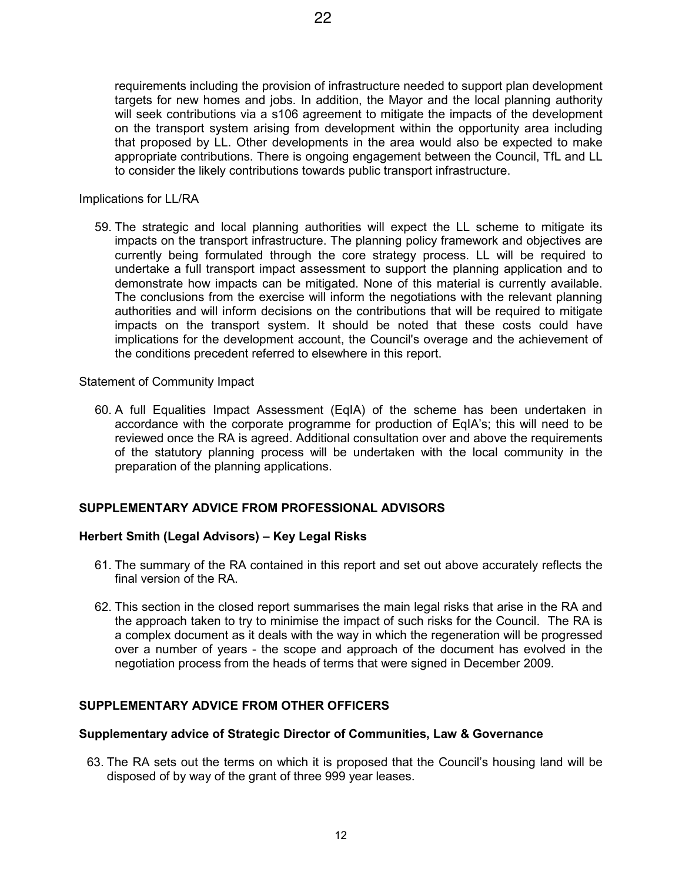requirements including the provision of infrastructure needed to support plan development targets for new homes and jobs. In addition, the Mayor and the local planning authority will seek contributions via a s106 agreement to mitigate the impacts of the development on the transport system arising from development within the opportunity area including that proposed by LL. Other developments in the area would also be expected to make appropriate contributions. There is ongoing engagement between the Council, TfL and LL to consider the likely contributions towards public transport infrastructure.

Implications for LL/RA

59. The strategic and local planning authorities will expect the LL scheme to mitigate its impacts on the transport infrastructure. The planning policy framework and objectives are currently being formulated through the core strategy process. LL will be required to undertake a full transport impact assessment to support the planning application and to demonstrate how impacts can be mitigated. None of this material is currently available. The conclusions from the exercise will inform the negotiations with the relevant planning authorities and will inform decisions on the contributions that will be required to mitigate impacts on the transport system. It should be noted that these costs could have implications for the development account, the Council's overage and the achievement of the conditions precedent referred to elsewhere in this report.

Statement of Community Impact

60. A full Equalities Impact Assessment (EqIA) of the scheme has been undertaken in accordance with the corporate programme for production of EqIA's; this will need to be reviewed once the RA is agreed. Additional consultation over and above the requirements of the statutory planning process will be undertaken with the local community in the preparation of the planning applications.

# **SUPPLEMENTARY ADVICE FROM PROFESSIONAL ADVISORS**

# **Herbert Smith (Legal Advisors) – Key Legal Risks**

- 61. The summary of the RA contained in this report and set out above accurately reflects the final version of the RA
- 62. This section in the closed report summarises the main legal risks that arise in the RA and the approach taken to try to minimise the impact of such risks for the Council. The RA is a complex document as it deals with the way in which the regeneration will be progressed over a number of years - the scope and approach of the document has evolved in the negotiation process from the heads of terms that were signed in December 2009.

# **SUPPLEMENTARY ADVICE FROM OTHER OFFICERS**

## **Supplementary advice of Strategic Director of Communities, Law & Governance**

63. The RA sets out the terms on which it is proposed that the Council's housing land will be disposed of by way of the grant of three 999 year leases.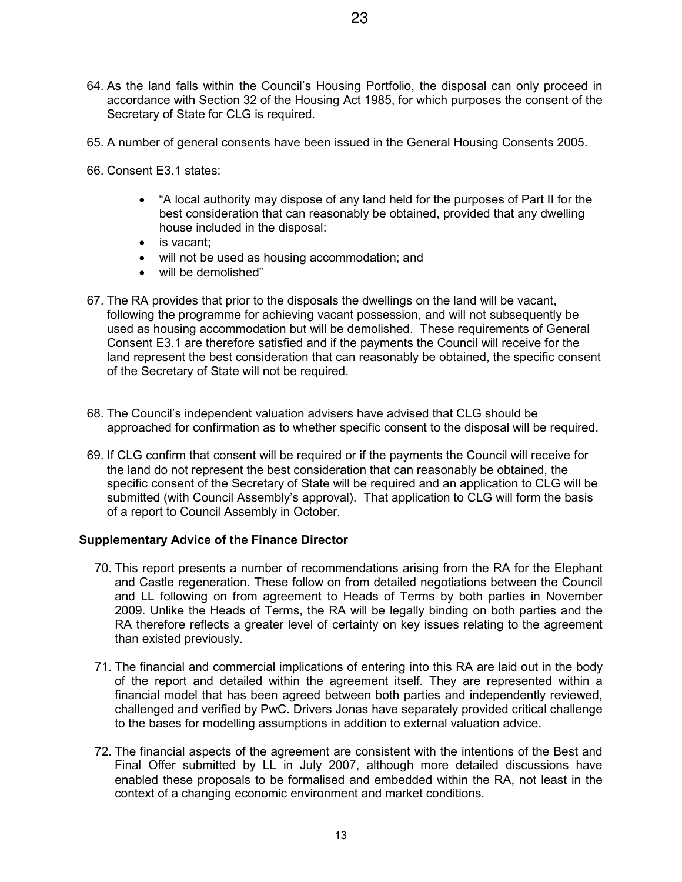- 64. As the land falls within the Council's Housing Portfolio, the disposal can only proceed in accordance with Section 32 of the Housing Act 1985, for which purposes the consent of the Secretary of State for CLG is required.
- 65. A number of general consents have been issued in the General Housing Consents 2005.
- 66. Consent E3.1 states:
	- "A local authority may dispose of any land held for the purposes of Part II for the best consideration that can reasonably be obtained, provided that any dwelling house included in the disposal:
	- is vacant;
	- will not be used as housing accommodation; and
	- will be demolished"
- 67. The RA provides that prior to the disposals the dwellings on the land will be vacant, following the programme for achieving vacant possession, and will not subsequently be used as housing accommodation but will be demolished. These requirements of General Consent E3.1 are therefore satisfied and if the payments the Council will receive for the land represent the best consideration that can reasonably be obtained, the specific consent of the Secretary of State will not be required.
- 68. The Council's independent valuation advisers have advised that CLG should be approached for confirmation as to whether specific consent to the disposal will be required.
- 69. If CLG confirm that consent will be required or if the payments the Council will receive for the land do not represent the best consideration that can reasonably be obtained, the specific consent of the Secretary of State will be required and an application to CLG will be submitted (with Council Assembly's approval). That application to CLG will form the basis of a report to Council Assembly in October.

## **Supplementary Advice of the Finance Director**

- 70. This report presents a number of recommendations arising from the RA for the Elephant and Castle regeneration. These follow on from detailed negotiations between the Council and LL following on from agreement to Heads of Terms by both parties in November 2009. Unlike the Heads of Terms, the RA will be legally binding on both parties and the RA therefore reflects a greater level of certainty on key issues relating to the agreement than existed previously.
- 71. The financial and commercial implications of entering into this RA are laid out in the body of the report and detailed within the agreement itself. They are represented within a financial model that has been agreed between both parties and independently reviewed, challenged and verified by PwC. Drivers Jonas have separately provided critical challenge to the bases for modelling assumptions in addition to external valuation advice.
- 72. The financial aspects of the agreement are consistent with the intentions of the Best and Final Offer submitted by LL in July 2007, although more detailed discussions have enabled these proposals to be formalised and embedded within the RA, not least in the context of a changing economic environment and market conditions.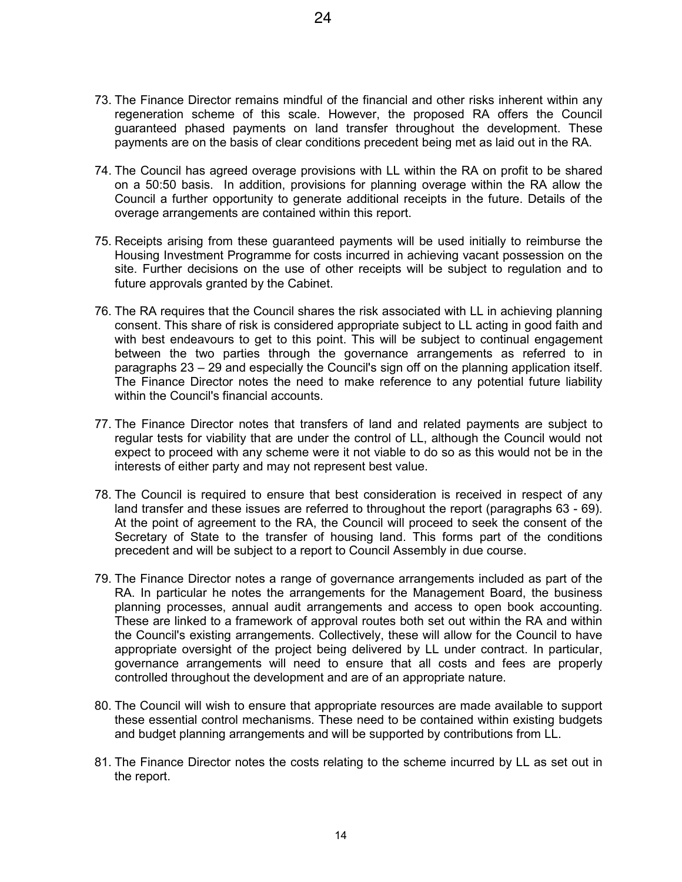- 73. The Finance Director remains mindful of the financial and other risks inherent within any regeneration scheme of this scale. However, the proposed RA offers the Council guaranteed phased payments on land transfer throughout the development. These payments are on the basis of clear conditions precedent being met as laid out in the RA.
- 74. The Council has agreed overage provisions with LL within the RA on profit to be shared on a 50:50 basis. In addition, provisions for planning overage within the RA allow the Council a further opportunity to generate additional receipts in the future. Details of the overage arrangements are contained within this report.
- 75. Receipts arising from these guaranteed payments will be used initially to reimburse the Housing Investment Programme for costs incurred in achieving vacant possession on the site. Further decisions on the use of other receipts will be subject to regulation and to future approvals granted by the Cabinet.
- 76. The RA requires that the Council shares the risk associated with LL in achieving planning consent. This share of risk is considered appropriate subject to LL acting in good faith and with best endeavours to get to this point. This will be subject to continual engagement between the two parties through the governance arrangements as referred to in paragraphs 23 – 29 and especially the Council's sign off on the planning application itself. The Finance Director notes the need to make reference to any potential future liability within the Council's financial accounts.
- 77. The Finance Director notes that transfers of land and related payments are subject to regular tests for viability that are under the control of LL, although the Council would not expect to proceed with any scheme were it not viable to do so as this would not be in the interests of either party and may not represent best value.
- 78. The Council is required to ensure that best consideration is received in respect of any land transfer and these issues are referred to throughout the report (paragraphs 63 - 69). At the point of agreement to the RA, the Council will proceed to seek the consent of the Secretary of State to the transfer of housing land. This forms part of the conditions precedent and will be subject to a report to Council Assembly in due course.
- 79. The Finance Director notes a range of governance arrangements included as part of the RA. In particular he notes the arrangements for the Management Board, the business planning processes, annual audit arrangements and access to open book accounting. These are linked to a framework of approval routes both set out within the RA and within the Council's existing arrangements. Collectively, these will allow for the Council to have appropriate oversight of the project being delivered by LL under contract. In particular, governance arrangements will need to ensure that all costs and fees are properly controlled throughout the development and are of an appropriate nature.
- 80. The Council will wish to ensure that appropriate resources are made available to support these essential control mechanisms. These need to be contained within existing budgets and budget planning arrangements and will be supported by contributions from LL.
- 81. The Finance Director notes the costs relating to the scheme incurred by LL as set out in the report.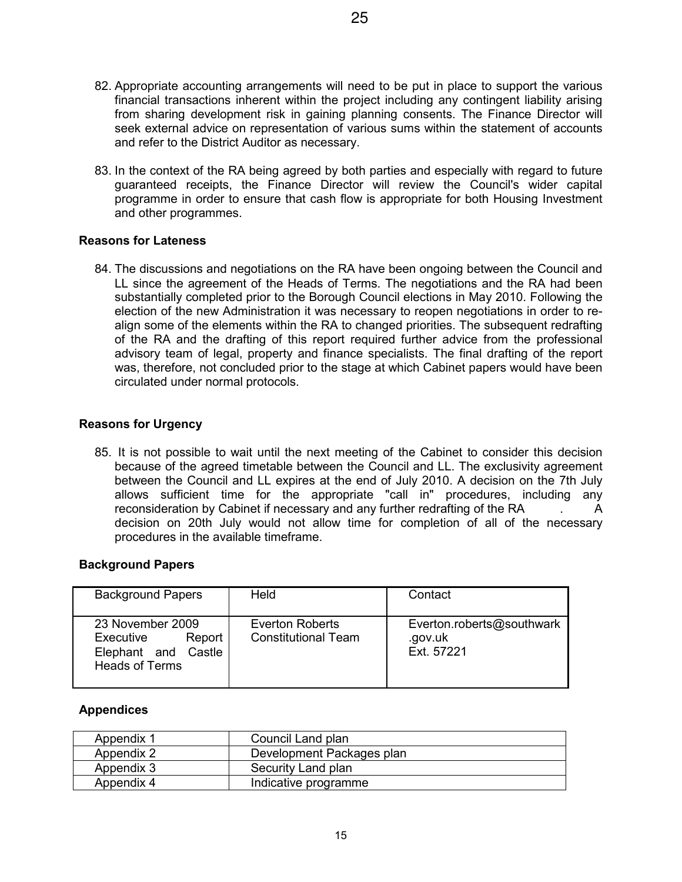- 82. Appropriate accounting arrangements will need to be put in place to support the various financial transactions inherent within the project including any contingent liability arising from sharing development risk in gaining planning consents. The Finance Director will seek external advice on representation of various sums within the statement of accounts and refer to the District Auditor as necessary.
- 83. In the context of the RA being agreed by both parties and especially with regard to future guaranteed receipts, the Finance Director will review the Council's wider capital programme in order to ensure that cash flow is appropriate for both Housing Investment and other programmes.

# **Reasons for Lateness**

84. The discussions and negotiations on the RA have been ongoing between the Council and LL since the agreement of the Heads of Terms. The negotiations and the RA had been substantially completed prior to the Borough Council elections in May 2010. Following the election of the new Administration it was necessary to reopen negotiations in order to realign some of the elements within the RA to changed priorities. The subsequent redrafting of the RA and the drafting of this report required further advice from the professional advisory team of legal, property and finance specialists. The final drafting of the report was, therefore, not concluded prior to the stage at which Cabinet papers would have been circulated under normal protocols.

# **Reasons for Urgency**

85. It is not possible to wait until the next meeting of the Cabinet to consider this decision because of the agreed timetable between the Council and LL. The exclusivity agreement between the Council and LL expires at the end of July 2010. A decision on the 7th July allows sufficient time for the appropriate "call in" procedures, including any reconsideration by Cabinet if necessary and any further redrafting of the RA . A decision on 20th July would not allow time for completion of all of the necessary procedures in the available timeframe.

# **Background Papers**

| <b>Background Papers</b>                                                                | Held                                          | Contact                                            |
|-----------------------------------------------------------------------------------------|-----------------------------------------------|----------------------------------------------------|
| 23 November 2009<br>Executive<br>Report<br>Elephant and Castle<br><b>Heads of Terms</b> | Everton Roberts<br><b>Constitutional Team</b> | Everton.roberts@southwark<br>.gov.uk<br>Ext. 57221 |

# **Appendices**

| Appendix 1 | Council Land plan         |
|------------|---------------------------|
| Appendix 2 | Development Packages plan |
| Appendix 3 | Security Land plan        |
| Appendix 4 | Indicative programme      |

15